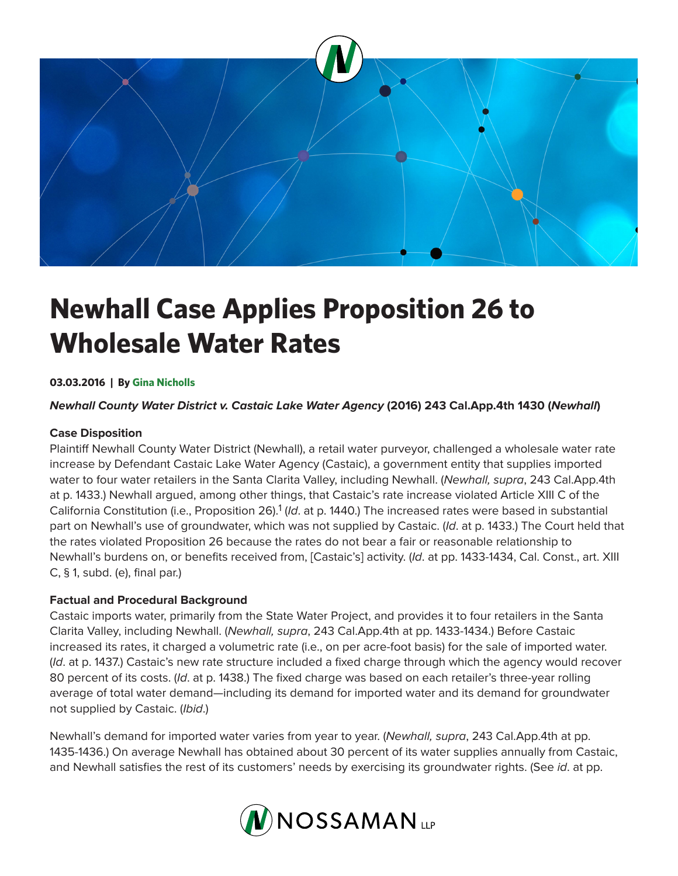

# **Newhall Case Applies Proposition 26 to Wholesale Water Rates**

# **03.03.2016 | By Gina Nicholls**

## *Newhall County Water District v. Castaic Lake Water Agency* **(2016) 243 Cal.App.4th 1430 (***Newhall***)**

## **Case Disposition**

Plaintiff Newhall County Water District (Newhall), a retail water purveyor, challenged a wholesale water rate increase by Defendant Castaic Lake Water Agency (Castaic), a government entity that supplies imported water to four water retailers in the Santa Clarita Valley, including Newhall. (*Newhall, supra*, 243 Cal.App.4th at p. 1433.) Newhall argued, among other things, that Castaic's rate increase violated Article XIII C of the California Constitution (i.e., Proposition 26).<sup>1</sup> (Id. at p. 1440.) The increased rates were based in substantial part on Newhall's use of groundwater, which was not supplied by Castaic. (*Id*. at p. 1433.) The Court held that the rates violated Proposition 26 because the rates do not bear a fair or reasonable relationship to Newhall's burdens on, or benefits received from, [Castaic's] activity. (*Id*. at pp. 1433-1434, Cal. Const., art. XIII C, § 1, subd. (e), final par.)

#### **Factual and Procedural Background**

Castaic imports water, primarily from the State Water Project, and provides it to four retailers in the Santa Clarita Valley, including Newhall. (*Newhall, supra*, 243 Cal.App.4th at pp. 1433-1434.) Before Castaic increased its rates, it charged a volumetric rate (i.e., on per acre-foot basis) for the sale of imported water. (*Id*. at p. 1437.) Castaic's new rate structure included a fixed charge through which the agency would recover 80 percent of its costs. (*Id*. at p. 1438.) The fixed charge was based on each retailer's three-year rolling average of total water demand—including its demand for imported water and its demand for groundwater not supplied by Castaic. (*Ibid*.)

Newhall's demand for imported water varies from year to year. (*Newhall, supra*, 243 Cal.App.4th at pp. 1435-1436.) On average Newhall has obtained about 30 percent of its water supplies annually from Castaic, and Newhall satisfies the rest of its customers' needs by exercising its groundwater rights. (See *id*. at pp.

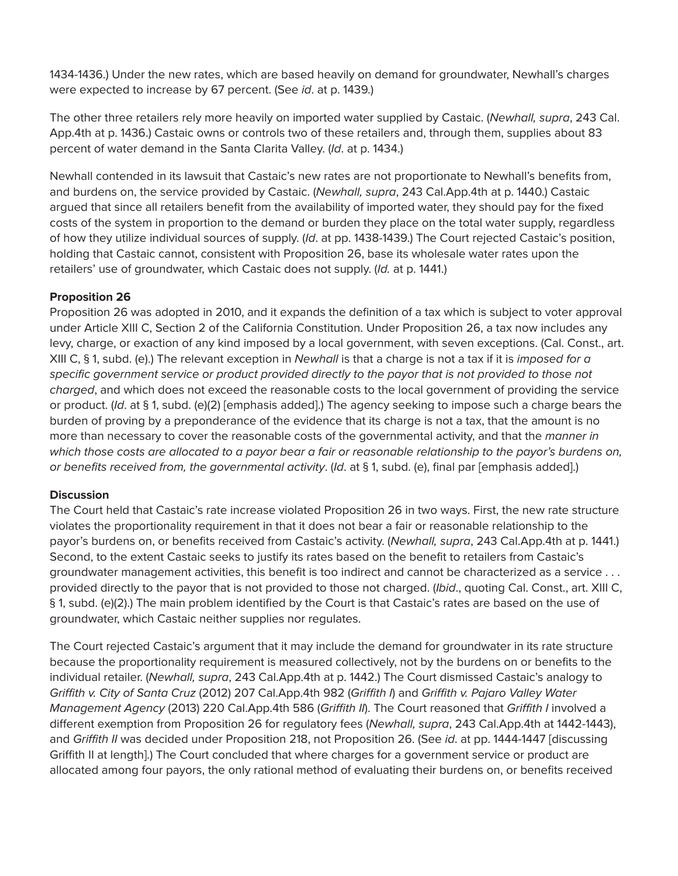1434-1436.) Under the new rates, which are based heavily on demand for groundwater, Newhall's charges were expected to increase by 67 percent. (See *id*. at p. 1439.)

The other three retailers rely more heavily on imported water supplied by Castaic. (*Newhall, supra*, 243 Cal. App.4th at p. 1436.) Castaic owns or controls two of these retailers and, through them, supplies about 83 percent of water demand in the Santa Clarita Valley. (*Id*. at p. 1434.)

Newhall contended in its lawsuit that Castaic's new rates are not proportionate to Newhall's benefits from, and burdens on, the service provided by Castaic. (*Newhall, supra*, 243 Cal.App.4th at p. 1440.) Castaic argued that since all retailers benefit from the availability of imported water, they should pay for the fixed costs of the system in proportion to the demand or burden they place on the total water supply, regardless of how they utilize individual sources of supply. (*Id*. at pp. 1438-1439.) The Court rejected Castaic's position, holding that Castaic cannot, consistent with Proposition 26, base its wholesale water rates upon the retailers' use of groundwater, which Castaic does not supply. (*Id.* at p. 1441.)

# **Proposition 26**

Proposition 26 was adopted in 2010, and it expands the definition of a tax which is subject to voter approval under Article XIII C, Section 2 of the California Constitution. Under Proposition 26, a tax now includes any levy, charge, or exaction of any kind imposed by a local government, with seven exceptions. (Cal. Const., art. XIII C, § 1, subd. (e).) The relevant exception in *Newhall* is that a charge is not a tax if it is *imposed for a specific government service or product provided directly to the payor that is not provided to those not charged*, and which does not exceed the reasonable costs to the local government of providing the service or product. (*Id*. at § 1, subd. (e)(2) [emphasis added].) The agency seeking to impose such a charge bears the burden of proving by a preponderance of the evidence that its charge is not a tax, that the amount is no more than necessary to cover the reasonable costs of the governmental activity, and that the *manner in which those costs are allocated to a payor bear a fair or reasonable relationship to the payor's burdens on, or benefits received from, the governmental activity*. (*Id*. at § 1, subd. (e), final par [emphasis added].)

#### **Discussion**

The Court held that Castaic's rate increase violated Proposition 26 in two ways. First, the new rate structure violates the proportionality requirement in that it does not bear a fair or reasonable relationship to the payor's burdens on, or benefits received from Castaic's activity. (*Newhall, supra*, 243 Cal.App.4th at p. 1441.) Second, to the extent Castaic seeks to justify its rates based on the benefit to retailers from Castaic's groundwater management activities, this benefit is too indirect and cannot be characterized as a service . . . provided directly to the payor that is not provided to those not charged. (*Ibid*., quoting Cal. Const., art. XIII C, § 1, subd. (e)(2).) The main problem identified by the Court is that Castaic's rates are based on the use of groundwater, which Castaic neither supplies nor regulates.

The Court rejected Castaic's argument that it may include the demand for groundwater in its rate structure because the proportionality requirement is measured collectively, not by the burdens on or benefits to the individual retailer. (*Newhall, supra*, 243 Cal.App.4th at p. 1442.) The Court dismissed Castaic's analogy to *Griffith v. City of Santa Cruz* (2012) 207 Cal.App.4th 982 (*Griffith I*) and *Griffith v. Pajaro Valley Water Management Agency* (2013) 220 Cal.App.4th 586 (*Griffith II*). The Court reasoned that *Griffith I* involved a different exemption from Proposition 26 for regulatory fees (*Newhall, supra*, 243 Cal.App.4th at 1442-1443), and *Griffith II* was decided under Proposition 218, not Proposition 26. (See *id*. at pp. 1444-1447 [discussing Griffith II at length].) The Court concluded that where charges for a government service or product are allocated among four payors, the only rational method of evaluating their burdens on, or benefits received